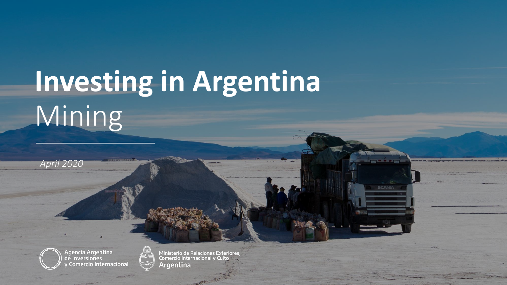## **Investing in Argentina** Mining



*April 2020*



Ministerio de Relaciones Exteriores,<br>Comercio Internacional y Culto **Argentina** 

**CONTRACTOR**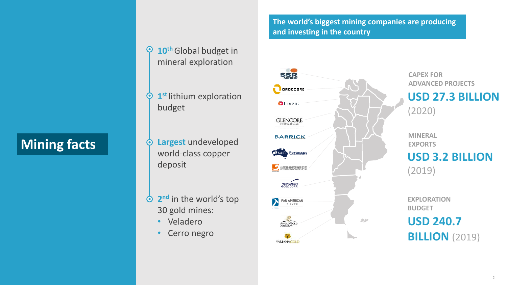## **Mining facts**

- 10<sup>th</sup> Global budget in  $\bullet$ mineral exploration
- **1 st** lithium exploration  $\odot$ budget
- **Largest** undeveloped  $\odot$ world-class copper deposit
- **2 nd** in the world's top  $\odot$ 30 gold mines:
	- Veladero
	- Cerro negro

#### **The world's biggest mining companies are producing and investing in the country**



**CAPEX FOR ADVANCED PROJECTS** 

**USD 27.3 BILLION**  (2020)

**MINERAL EXPORTS USD 3.2 BILLION**  (2019)

**EXPLORATION BUDGET USD 240.7 BILLION** (2019)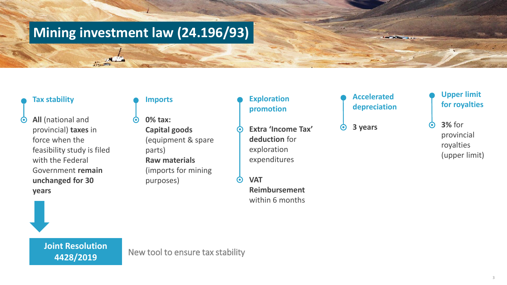## **Mining investment law (24.196/93)**

#### **Tax stability**

**All** (national and  $\odot$ provincial) **taxes** in force when the feasibility study is filed with the Federal Government **remain unchanged for 30 years**

#### **Imports**

**0% tax: Capital goods**  (equipment & spare parts) **Raw materials**  (imports for mining purposes)

#### **Exploration promotion**

- **Extra 'Income Tax' deduction** for exploration expenditures
	- **VAT Reimbursement**  within 6 months

#### **Accelerated depreciation**

**STATISTICS** 

**3 years**  $\boldsymbol{\odot}$ 

#### **Upper limit for royalties**

**3%** for  $\odot$ provincial royalties (upper limit)

**4428/2019**

**Joint Resolution**<br>**New tool to ensure tax stability**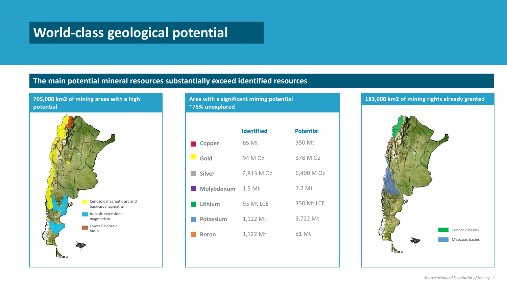## **World-class geological potential**

#### **The main potential mineral resources substantially exceed identified resources**

#### **705,000 km2 of mining areas with a high potential**



**Area with a significant mining potential ~75% unexplored**



# **183,000 km2 of mining rights already granted**  Cenozoic basins Mesozoic basins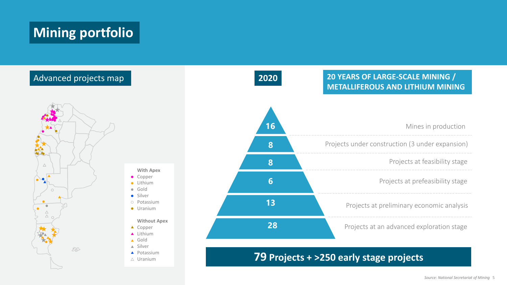## **Mining portfolio**

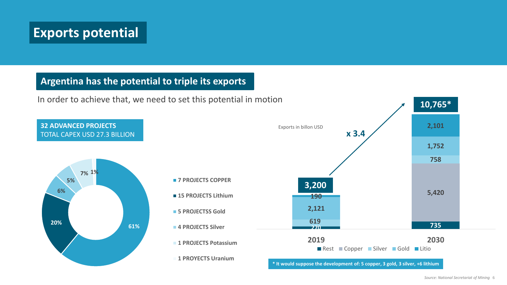## **Exports potential**

#### **Argentina has the potential to triple its exports**

In order to achieve that, we need to set this potential in motion

**32 ADVANCED PROJECTS** TOTAL CAPEX USD 27.3 BILLION



- **7 PROJECTS COPPER**
- **15 PROJECTS Lithium**
- **5 PROJECTSS Gold**
- **4 PROJECTS Silver**
- **1 PROJECTS Potassium**
- **1 PROYECTS Uranium**

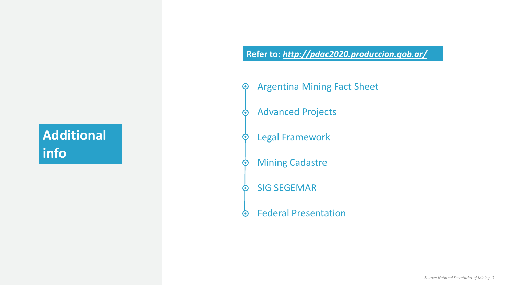## **Additional info**

#### **Refer to:** *<http://pdac2020.produccion.gob.ar/>*

- Argentina Mining Fact Sheet  $\boldsymbol{\Theta}$ 
	- Advanced Projects
- Legal Framework  $\bm{\Theta}$
- Mining Cadastre  $\bullet$
- SIG SEGEMAR O
- Federal Presentation  $\odot$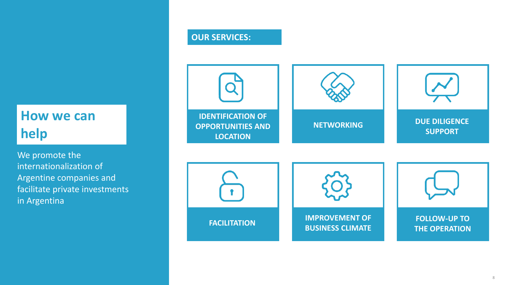## **How we can help**

We promote the internationalization of Argentine companies and facilitate private investments in Argentina

#### **OUR SERVICES:**